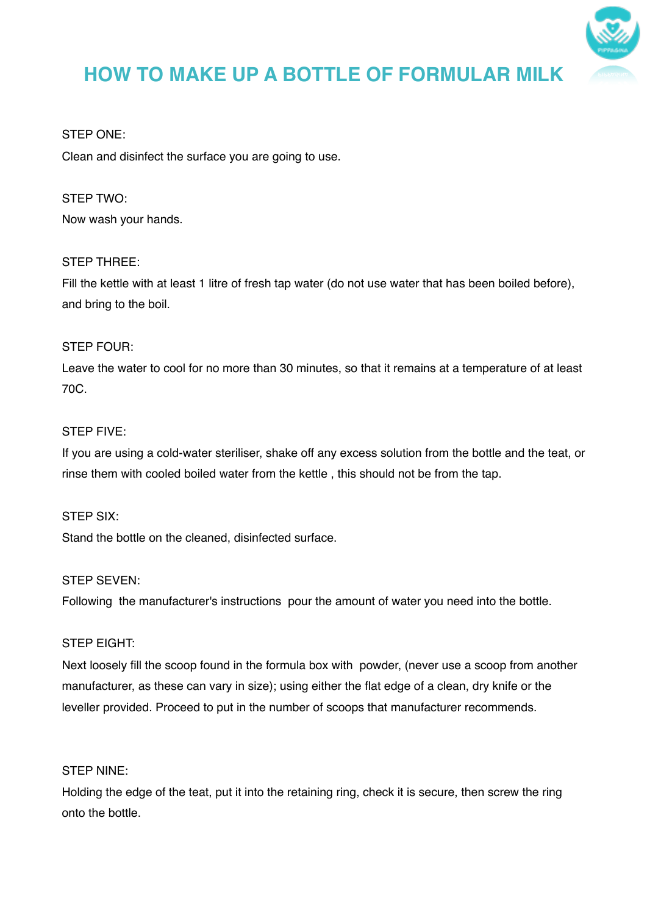

# **HOW TO MAKE UP A BOTTLE OF FORMULAR MILK**

# STEP ONE:

Clean and disinfect the surface you are going to use.

# STEP TWO:

Now wash your hands.

# STEP THREE:

Fill the kettle with at least 1 litre of fresh tap water (do not use water that has been boiled before), and bring to the boil.

# STEP FOUR:

Leave the water to cool for no more than 30 minutes, so that it remains at a temperature of at least 70C.

# STEP FIVE:

If you are using a cold-water steriliser, shake off any excess solution from the bottle and the teat, or rinse them with cooled boiled water from the kettle , this should not be from the tap.

#### STEP SIX:

Stand the bottle on the cleaned, disinfected surface.

#### STEP SEVEN:

Following the manufacturer's instructions pour the amount of water you need into the bottle.

#### STEP EIGHT:

Next loosely fill the scoop found in the formula box with powder, (never use a scoop from another manufacturer, as these can vary in size); using either the flat edge of a clean, dry knife or the leveller provided. Proceed to put in the number of scoops that manufacturer recommends.

# STEP NINE:

Holding the edge of the teat, put it into the retaining ring, check it is secure, then screw the ring onto the bottle.